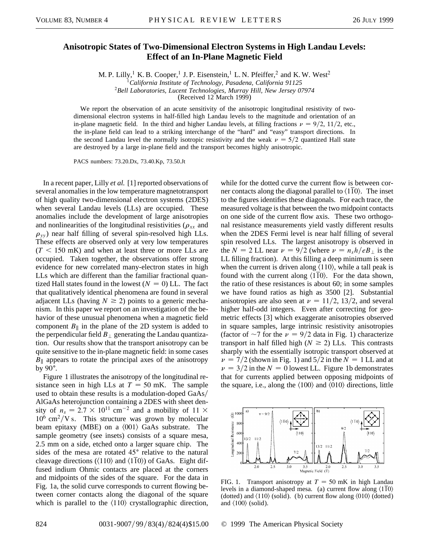## **Anisotropic States of Two-Dimensional Electron Systems in High Landau Levels: Effect of an In-Plane Magnetic Field**

M. P. Lilly,<sup>1</sup> K. B. Cooper,<sup>1</sup> J. P. Eisenstein,<sup>1</sup> L. N. Pfeiffer,<sup>2</sup> and K. W. West<sup>2</sup>

<sup>1</sup>*California Institute of Technology, Pasadena, California 91125*

<sup>2</sup>*Bell Laboratories, Lucent Technologies, Murray Hill, New Jersey 07974*

(Received 12 March 1999)

We report the observation of an acute sensitivity of the anisotropic longitudinal resistivity of twodimensional electron systems in half-filled high Landau levels to the magnitude and orientation of an in-plane magnetic field. In the third and higher Landau levels, at filling fractions  $\nu = 9/2$ , 11/2, etc., the in-plane field can lead to a striking interchange of the "hard" and "easy" transport directions. In the second Landau level the normally isotropic resistivity and the weak  $\nu = \frac{5}{2}$  quantized Hall state are destroyed by a large in-plane field and the transport becomes highly anisotropic.

PACS numbers: 73.20.Dx, 73.40.Kp, 73.50.Jt

In a recent paper, Lilly *et al.* [1] reported observations of several anomalies in the low temperature magnetotransport of high quality two-dimensional electron systems (2DES) when several Landau levels (LLs) are occupied. These anomalies include the development of large anisotropies and nonlinearities of the longitudinal resistivities ( $\rho_{xx}$  and  $\rho_{yy}$ ) near half filling of several spin-resolved high LLs. These effects are observed only at very low temperatures  $(T < 150$  mK) and when at least three or more LLs are occupied. Taken together, the observations offer strong evidence for new correlated many-electron states in high LLs which are different than the familiar fractional quantized Hall states found in the lowest  $(N = 0)$  LL. The fact that qualitatively identical phenomena are found in several adjacent LLs (having  $N \ge 2$ ) points to a generic mechanism. In this paper we report on an investigation of the behavior of these unusual phenomena when a magnetic field component  $B_{\parallel}$  in the plane of the 2D system is added to the perpendicular field  $B_{\perp}$  generating the Landau quantization. Our results show that the transport anisotropy can be quite sensitive to the in-plane magnetic field: in some cases  $B_{\parallel}$  appears to rotate the principal axes of the anisotropy by  $90^\circ$ .

Figure 1 illustrates the anisotropy of the longitudinal resistance seen in high LLs at  $T = 50$  mK. The sample used to obtain these results is a modulation-doped GaAs AlGaAs heterojunction containing a 2DES with sheet density of  $n_s = 2.7 \times 10^{11}$  cm<sup>-2</sup> and a mobility of 11  $\times$  $10^6$  cm<sup>2</sup>/V s. This structure was grown by molecular beam epitaxy (MBE) on a  $\langle 001 \rangle$  GaAs substrate. The sample geometry (see insets) consists of a square mesa, 2.5 mm on a side, etched onto a larger square chip. The sides of the mesa are rotated  $45^{\circ}$  relative to the natural cleavage directions ( $\langle 110 \rangle$  and  $\langle 110 \rangle$ ) of GaAs. Eight diffused indium Ohmic contacts are placed at the corners and midpoints of the sides of the square. For the data in Fig. 1a, the solid curve corresponds to current flowing between corner contacts along the diagonal of the square which is parallel to the  $\langle 110 \rangle$  crystallographic direction,

while for the dotted curve the current flow is between corner contacts along the diagonal parallel to  $\langle 110 \rangle$ . The inset to the figures identifies these diagonals. For each trace, the measured voltage is that between the two midpoint contacts on one side of the current flow axis. These two orthogonal resistance measurements yield vastly different results when the 2DES Fermi level is near half filling of several spin resolved LLs. The largest anisotropy is observed in the  $N = 2$  LL near  $\nu = 9/2$  (where  $\nu = n_s h/eB_{\perp}$  is the LL filling fraction). At this filling a deep minimum is seen when the current is driven along  $\langle 110 \rangle$ , while a tall peak is found with the current along  $\langle 110 \rangle$ . For the data shown, the ratio of these resistances is about 60; in some samples we have found ratios as high as 3500 [2]. Substantial anisotropies are also seen at  $\nu = 11/2$ , 13/2, and several higher half-odd integers. Even after correcting for geometric effects [3] which exaggerate anisotropies observed in square samples, large intrinsic resistivity anisotropies (factor of  $\sim$ 7 for the  $\nu$  = 9/2 data in Fig. 1) characterize transport in half filled high  $(N \ge 2)$  LLs. This contrasts sharply with the essentially isotropic transport observed at  $\nu = \frac{7}{2}$  (shown in Fig. 1) and  $\frac{5}{2}$  in the  $N = 1$  LL and at  $\nu = 3/2$  in the  $N = 0$  lowest LL. Figure 1b demonstrates that for currents applied between opposing midpoints of the square, i.e., along the  $\langle 100 \rangle$  and  $\langle 010 \rangle$  directions, little



FIG. 1. Transport anisotropy at  $T = 50$  mK in high Landau levels in a diamond-shaped mesa. (a) current flow along  $\langle 110 \rangle$ (dotted) and  $\langle 110 \rangle$  (solid). (b) current flow along  $\langle 010 \rangle$  (dotted) and  $\langle 100 \rangle$  (solid).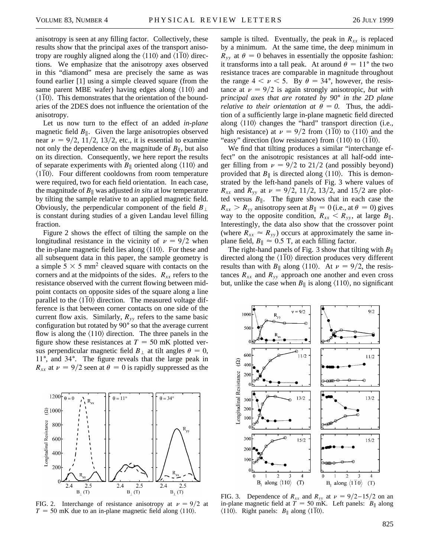anisotropy is seen at any filling factor. Collectively, these results show that the principal axes of the transport anisotropy are roughly aligned along the  $\langle 110 \rangle$  and  $\langle 1\overline{1}0 \rangle$  directions. We emphasize that the anisotropy axes observed in this "diamond" mesa are precisely the same as was found earlier [1] using a simple cleaved square (from the same parent MBE wafer) having edges along  $\langle 110 \rangle$  and  $\langle 110 \rangle$ . This demonstrates that the orientation of the boundaries of the 2DES does not influence the orientation of the anisotropy.

Let us now turn to the effect of an added *in-plane* magnetic field  $B_{\parallel}$ . Given the large anisotropies observed near  $\nu = 9/2$ , 11/2, 13/2, etc., it is essential to examine not only the dependence on the magnitude of  $B_{\parallel}$ , but also on its direction. Consequently, we here report the results of separate experiments with  $B_{\parallel}$  oriented along  $\langle 110 \rangle$  and -110. Four different cooldowns from room temperature were required, two for each field orientation. In each case, the magnitude of  $B_{\parallel}$  was adjusted *in situ* at low temperature by tilting the sample relative to an applied magnetic field. Obviously, the perpendicular component of the field  $B_{\perp}$ is constant during studies of a given Landau level filling fraction.

Figure 2 shows the effect of tilting the sample on the longitudinal resistance in the vicinity of  $\nu = 9/2$  when the in-plane magnetic field lies along  $\langle 110 \rangle$ . For these and all subsequent data in this paper, the sample geometry is a simple 5  $\times$  5 mm<sup>2</sup> cleaved square with contacts on the corners and at the midpoints of the sides.  $R_{xx}$  refers to the resistance observed with the current flowing between midpoint contacts on opposite sides of the square along a line parallel to the  $\langle 110 \rangle$  direction. The measured voltage difference is that between corner contacts on one side of the current flow axis. Similarly,  $R_{yy}$  refers to the same basic configuration but rotated by 90° so that the average current flow is along the  $\langle 110 \rangle$  direction. The three panels in the figure show these resistances at  $T = 50$  mK plotted versus perpendicular magnetic field  $B_{\perp}$  at tilt angles  $\theta = 0$ , 11°, and 34°. The figure reveals that the large peak in  $R_{xx}$  at  $\nu = 9/2$  seen at  $\theta = 0$  is rapidly suppressed as the



FIG. 2. Interchange of resistance anisotropy at  $\nu = 9/2$  at  $T = 50$  mK due to an in-plane magnetic field along  $\langle 110 \rangle$ .

sample is tilted. Eventually, the peak in  $R_{xx}$  is replaced by a minimum. At the same time, the deep minimum in  $R_{yy}$  at  $\theta = 0$  behaves in essentially the opposite fashion: it transforms into a tall peak. At around  $\theta = 11^{\circ}$  the two resistance traces are comparable in magnitude throughout the range  $4 < \nu < 5$ . By  $\theta = 34^{\circ}$ , however, the resistance at  $\nu = 9/2$  is again strongly anisotropic, *but with principal axes that are rotated by 90*<sup>±</sup> *in the 2D plane relative to their orientation at*  $\theta = 0$ . Thus, the addition of a sufficiently large in-plane magnetic field directed along  $\langle 110 \rangle$  changes the "hard" transport direction (i.e., high resistance) at  $\nu = 9/2$  from  $\langle 1\overline{1}0 \rangle$  to  $\langle 110 \rangle$  and the "easy" direction (low resistance) from  $\langle 110 \rangle$  to  $\langle 110 \rangle$ .

We find that tilting produces a similar "interchange effect" on the anisotropic resistances at all half-odd integer filling from  $\nu = 9/2$  to 21/2 (and possibly beyond) provided that  $B_{\parallel}$  is directed along  $\langle 110 \rangle$ . This is demonstrated by the left-hand panels of Fig. 3 where values of  $R_{xx}$  and  $R_{yy}$  at  $\nu = 9/2$ , 11/2, 13/2, and 15/2 are plotted versus  $B_{\parallel}$ . The figure shows that in each case the  $R_{xx} > R_{yy}$  anisotropy seen at  $B_{\parallel} = 0$  (i.e., at  $\theta = 0$ ) gives way to the opposite condition,  $R_{xx} < R_{yy}$ , at large  $B_{\parallel}$ . Interestingly, the data also show that the crossover point (where  $R_{xx} \approx R_{yy}$ ) occurs at approximately the same inplane field,  $B_{\parallel} \approx 0.5$  T, at each filling factor.

The right-hand panels of Fig. 3 show that tilting with  $B_{\parallel}$ directed along the  $\langle 1\overline{1}0 \rangle$  direction produces very different results than with  $B_{\parallel}$  along  $\langle 110 \rangle$ . At  $\nu = 9/2$ , the resistances  $R_{xx}$  and  $R_{yy}$  approach one another and even cross but, unlike the case when  $B_{\parallel}$  is along  $\langle 110 \rangle$ , no significant



FIG. 3. Dependence of  $R_{xx}$  and  $R_{yy}$  at  $\nu = 9/2 - 15/2$  on an in-plane magnetic field at  $T = 50$  mK. Left panels:  $B_{\parallel}$  along  $\langle 110 \rangle$ . Right panels: *B*<sub>||</sub> along  $\langle 110 \rangle$ .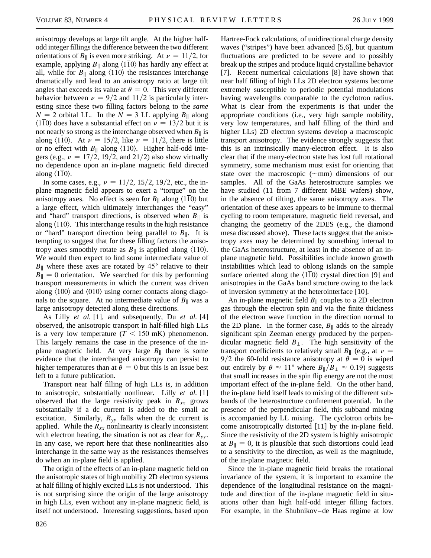anisotropy develops at large tilt angle. At the higher halfodd integer fillings the difference between the two different orientations of  $B_{\parallel}$  is even more striking. At  $\nu = 11/2$ , for example, applying  $B_{\parallel}$  along  $\langle 110 \rangle$  has hardly any effect at all, while for  $B_{\parallel}$  along  $\langle 110 \rangle$  the resistances interchange dramatically and lead to an anisotropy ratio at large tilt angles that exceeds its value at  $\theta = 0$ . This very different behavior between  $\nu = 9/2$  and 11/2 is particularly interesting since these two filling factors belong to the *same*  $N = 2$  orbital LL. In the  $N = 3$  LL applying  $B_{\parallel}$  along  $\langle 110 \rangle$  does have a substantial effect on  $\nu = 13/2$  but it is not nearly so strong as the interchange observed when  $B_{\parallel}$  is along  $\langle 110 \rangle$ . At  $\nu = 15/2$ , like  $\nu = 11/2$ , there is little or no effect with  $B_{\parallel}$  along  $\langle 110 \rangle$ . Higher half-odd integers (e.g.,  $\nu = 17/2$ , 19/2, and 21/2) also show virtually no dependence upon an in-plane magnetic field directed along  $\langle 110 \rangle$ .

In some cases, e.g.,  $\nu = 11/2$ , 15/2, 19/2, etc., the inplane magnetic field appears to exert a "torque" on the anisotropy axes. No effect is seen for  $B_{\parallel}$  along  $\langle 110 \rangle$  but a large effect, which ultimately interchanges the "easy" and "hard" transport directions, is observed when  $B_{\parallel}$  is along  $\langle 110 \rangle$ . This interchange results in the high resistance or "hard" transport direction being parallel to  $B_{\parallel}$ . It is tempting to suggest that for these filling factors the anisotropy axes smoothly rotate as  $B_{\parallel}$  is applied along  $\langle 110 \rangle$ . We would then expect to find some intermediate value of  $B_{\parallel}$  where these axes are rotated by 45 $^{\circ}$  relative to their  $B_{\parallel} = 0$  orientation. We searched for this by performing transport measurements in which the current was driven along  $\langle 100 \rangle$  and  $\langle 010 \rangle$  using corner contacts along diagonals to the square. At no intermediate value of  $B_{\parallel}$  was a large anisotropy detected along these directions.

As Lilly *et al.* [1], and subsequently, Du *et al.* [4] observed, the anisotropic transport in half-filled high LLs is a very low temperature  $(T < 150$  mK) phenomenon. This largely remains the case in the presence of the inplane magnetic field. At very large  $B_{\parallel}$  there is some evidence that the interchanged anisotropy can persist to higher temperatures than at  $\theta = 0$  but this is an issue best left to a future publication.

Transport near half filling of high LLs is, in addition to anisotropic, substantially nonlinear. Lilly *et al.* [1] observed that the large resistivity peak in  $R_{xx}$  grows substantially if a dc current is added to the small ac excitation. Similarly,  $R_{yy}$  falls when the dc current is applied. While the  $R_{xx}$  nonlinearity is clearly inconsistent with electron heating, the situation is not as clear for  $R_{yy}$ . In any case, we report here that these nonlinearities also interchange in the same way as the resistances themselves do when an in-plane field is applied.

The origin of the effects of an in-plane magnetic field on the anisotropic states of high mobility 2D electron systems at half filling of highly excited LLs is not understood. This is not surprising since the origin of the large anisotropy in high LLs, even without any in-plane magnetic field, is itself not understood. Interesting suggestions, based upon

Hartree-Fock calculations, of unidirectional charge density waves ("stripes") have been advanced [5,6], but quantum fluctuations are predicted to be severe and to possibly break up the stripes and produce liquid crystalline behavior [7]. Recent numerical calculations [8] have shown that near half filling of high LLs 2D electron systems become extremely susceptible to periodic potential modulations having wavelengths comparable to the cyclotron radius. What is clear from the experiments is that under the appropriate conditions (i.e., very high sample mobility, very low temperatures, and half filling of the third and higher LLs) 2D electron systems develop a macroscopic transport anisotropy. The evidence strongly suggests that this is an intrinsically many-electron effect. It is also clear that if the many-electron state has lost full rotational symmetry, some mechanism must exist for orienting that state over the macroscopic  $(\sim$ mm) dimensions of our samples. All of the GaAs heterostructure samples we have studied (11 from 7 different MBE wafers) show, in the absence of tilting, the same anisotropy axes. The orientation of these axes appears to be immune to thermal cycling to room temperature, magnetic field reversal, and changing the geometry of the 2DES (e.g., the diamond mesa discussed above). These facts suggest that the anisotropy axes may be determined by something internal to the GaAs heterostructure, at least in the absence of an inplane magnetic field. Possibilities include known growth instabilities which lead to oblong islands on the sample surface oriented along the  $\langle 110 \rangle$  crystal direction [9] and anisotropies in the GaAs band structure owing to the lack of inversion symmetry at the heterointerface [10].

An in-plane magnetic field  $B_{\parallel}$  couples to a 2D electron gas through the electron spin and via the finite thickness of the electron wave function in the direction normal to the 2D plane. In the former case,  $B_{\parallel}$  adds to the already significant spin Zeeman energy produced by the perpendicular magnetic field  $B_{\perp}$ . The high sensitivity of the transport coefficients to relatively small  $B_{\parallel}$  (e.g., at  $\nu =$ 9/2 the 60-fold resistance anisotropy at  $\theta = 0$  is wiped out entirely by  $\theta \approx 11^{\circ}$  where  $B_{\parallel}/B_{\perp} \approx 0.19$ ) suggests that small increases in the spin flip energy are not the most important effect of the in-plane field. On the other hand, the in-plane field itself leads to mixing of the different subbands of the heterostructure confinement potential. In the presence of the perpendicular field, this subband mixing is accompanied by LL mixing. The cyclotron orbits become anisotropically distorted [11] by the in-plane field. Since the resistivity of the 2D system is highly anisotropic at  $B_{\parallel} = 0$ , it is plausible that such distortions could lead to a sensitivity to the direction, as well as the magnitude, of the in-plane magnetic field.

Since the in-plane magnetic field breaks the rotational invariance of the system, it is important to examine the dependence of the longitudinal resistance on the magnitude and direction of the in-plane magnetic field in situations other than high half-odd integer filling factors. For example, in the Shubnikov–de Haas regime at low